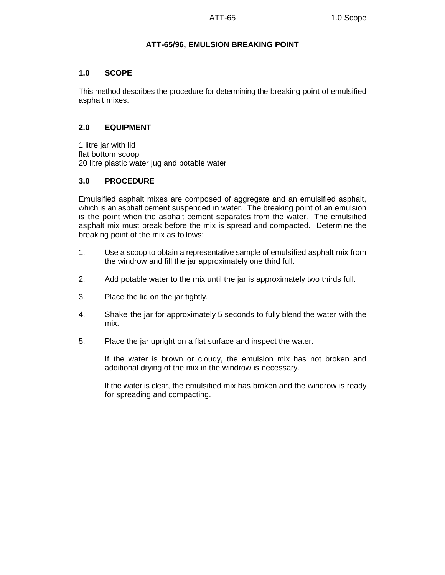## **ATT-65/96, EMULSION BREAKING POINT**

### **1.0 SCOPE**

This method describes the procedure for determining the breaking point of emulsified asphalt mixes.

# **2.0 EQUIPMENT**

1 litre jar with lid flat bottom scoop 20 litre plastic water jug and potable water

# **3.0 PROCEDURE**

Emulsified asphalt mixes are composed of aggregate and an emulsified asphalt, which is an asphalt cement suspended in water. The breaking point of an emulsion is the point when the asphalt cement separates from the water. The emulsified asphalt mix must break before the mix is spread and compacted. Determine the breaking point of the mix as follows:

- 1. Use a scoop to obtain a representative sample of emulsified asphalt mix from the windrow and fill the jar approximately one third full.
- 2. Add potable water to the mix until the jar is approximately two thirds full.
- 3. Place the lid on the jar tightly.
- 4. Shake the jar for approximately 5 seconds to fully blend the water with the mix.
- 5. Place the jar upright on a flat surface and inspect the water.

If the water is brown or cloudy, the emulsion mix has not broken and additional drying of the mix in the windrow is necessary.

If the water is clear, the emulsified mix has broken and the windrow is ready for spreading and compacting.